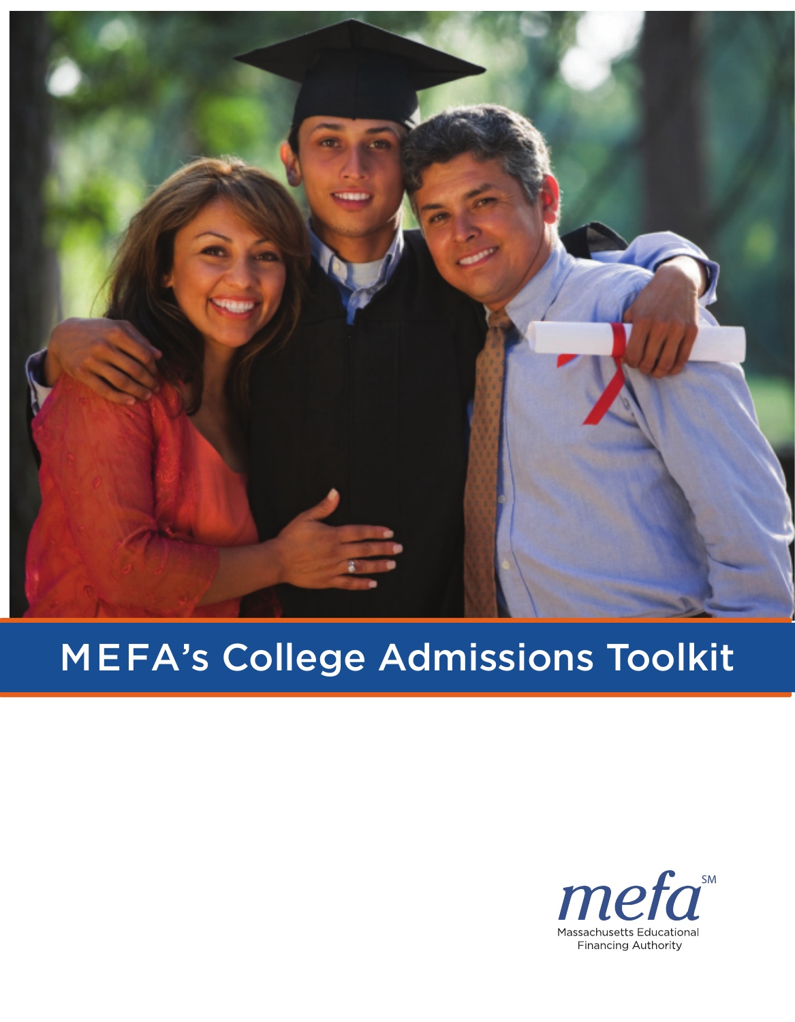

# MEFA's College Admissions Toolkit

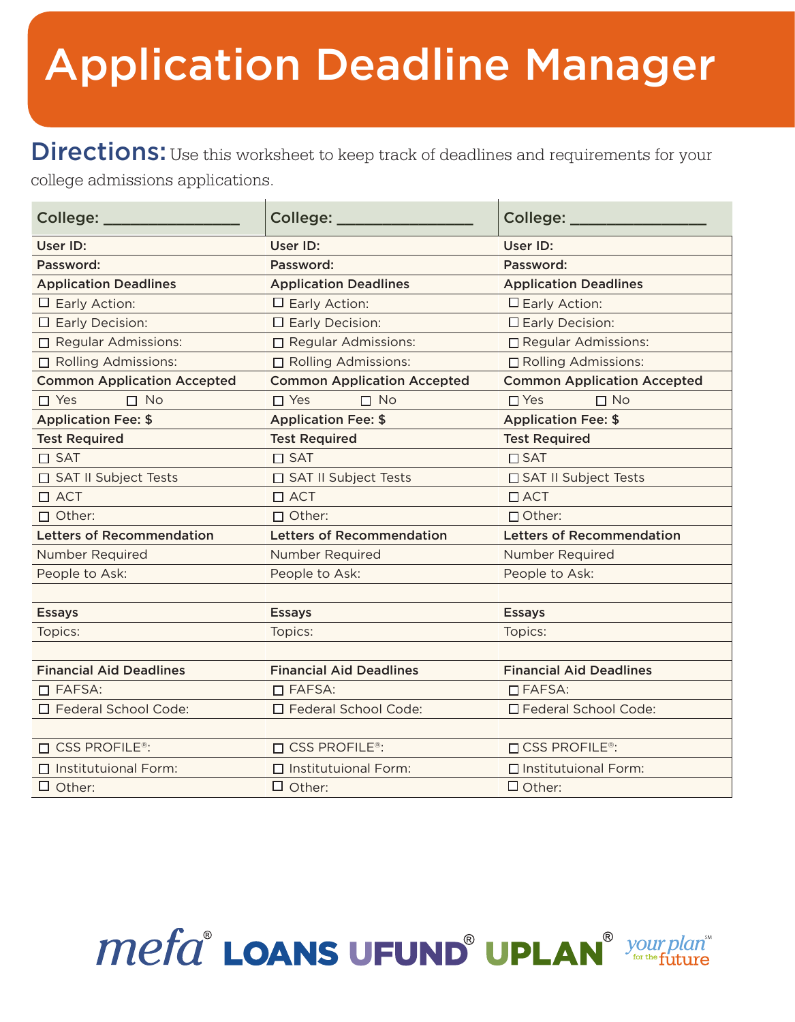# Application Deadline Manager

Directions: Use this worksheet to keep track of deadlines and requirements for your college admissions applications.

| College: _                           | College:                                                             | College: _                         |  |
|--------------------------------------|----------------------------------------------------------------------|------------------------------------|--|
| User ID:                             | User ID:                                                             | User ID:                           |  |
| Password:                            | Password:                                                            | Password:                          |  |
| <b>Application Deadlines</b>         | <b>Application Deadlines</b>                                         | <b>Application Deadlines</b>       |  |
| $\Box$ Early Action:                 | $\Box$ Early Action:                                                 | $\Box$ Early Action:               |  |
| $\Box$ Early Decision:               | $\Box$ Early Decision:                                               | $\Box$ Early Decision:             |  |
| Regular Admissions:                  | □ Regular Admissions:                                                | □ Regular Admissions:              |  |
| Rolling Admissions:                  | Rolling Admissions:                                                  | □ Rolling Admissions:              |  |
| <b>Common Application Accepted</b>   | <b>Common Application Accepted</b>                                   | <b>Common Application Accepted</b> |  |
| $\Box$ No<br>$\Box$ Yes              | $\Box$ No<br>$\Box$ Yes                                              | $\Box$ No<br>$\Box$ Yes            |  |
| <b>Application Fee: \$</b>           | <b>Application Fee: \$</b>                                           | <b>Application Fee: \$</b>         |  |
| <b>Test Required</b>                 | <b>Test Required</b>                                                 | <b>Test Required</b>               |  |
| $\square$ SAT                        | $\square$ SAT                                                        | $\Box$ SAT                         |  |
| □ SAT II Subject Tests               | □ SAT II Subject Tests                                               | □ SAT II Subject Tests             |  |
| $\Box$ ACT                           | $\Box$ ACT                                                           | $\Box$ ACT                         |  |
| $\Box$ Other:                        | $\Box$ Other:<br>$\Box$ Other:                                       |                                    |  |
| <b>Letters of Recommendation</b>     | <b>Letters of Recommendation</b><br><b>Letters of Recommendation</b> |                                    |  |
| Number Required                      | Number Required                                                      | Number Required                    |  |
| People to Ask:                       | People to Ask:                                                       | People to Ask:                     |  |
|                                      |                                                                      |                                    |  |
| <b>Essays</b>                        | <b>Essays</b>                                                        | <b>Essays</b>                      |  |
| Topics:                              | Topics:                                                              | Topics:                            |  |
|                                      |                                                                      |                                    |  |
| <b>Financial Aid Deadlines</b>       | <b>Financial Aid Deadlines</b>                                       | <b>Financial Aid Deadlines</b>     |  |
| $\Box$ FAFSA:                        | $\Box$ FAFSA:                                                        | $\Box$ FAFSA:                      |  |
| □ Federal School Code:               | □ Federal School Code:                                               | □ Federal School Code:             |  |
|                                      |                                                                      |                                    |  |
| $\square$ CSS PROFILE <sup>®</sup> : | $\Box$ CSS PROFILE <sup>®</sup> :                                    | $\Box$ CSS PROFILE®:               |  |
| $\Box$ Institutuional Form:          | $\Box$ Institutuional Form:                                          | $\Box$ Institutuional Form:        |  |
| $\Box$ Other:                        | $\Box$ Other:                                                        | $\Box$ Other:                      |  |

# **Mefa<sup>®</sup> LOANS UFUND<sup>®</sup> UPLAN**<sup>® your</sup>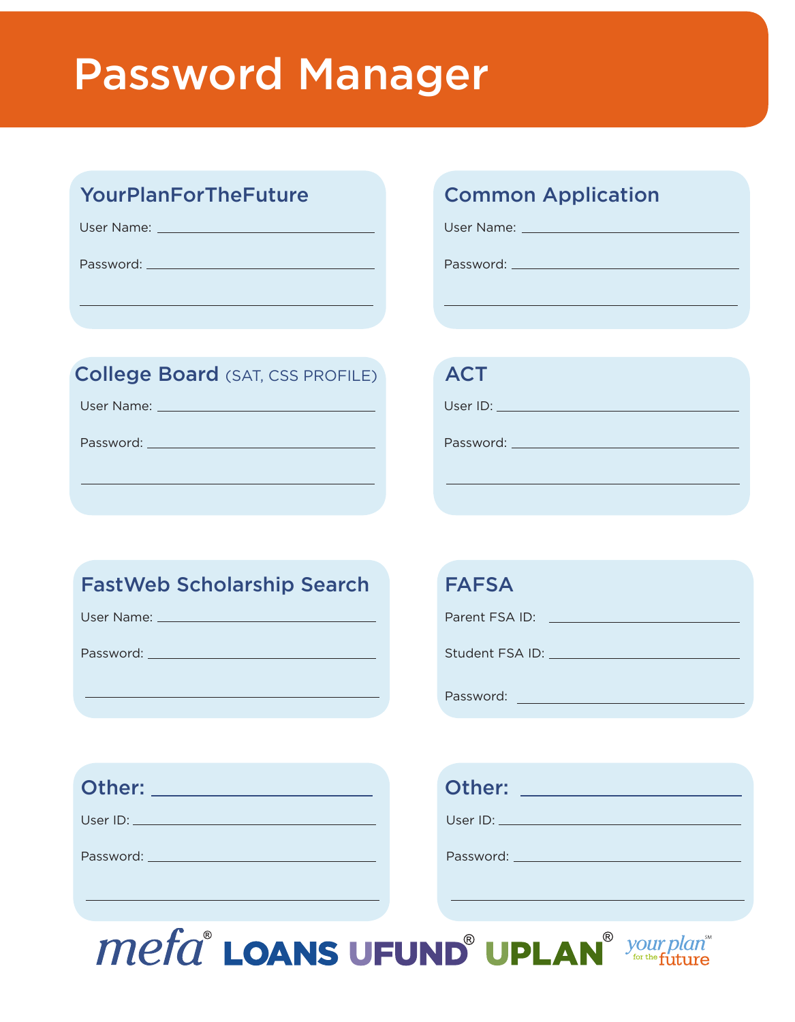#### Password Manager

#### YourPlanForTheFuture **Common Application**

User Name:

Password:

#### College Board (SAT, CSS PROFILE) ACT

User Name:

Password:

User Name:

Password:

# User ID: **William Street Inc.** Password:

#### FastWeb Scholarship Search FAFSA

User Name: \_\_\_\_\_\_\_\_\_\_\_\_\_\_\_\_\_

Password:

Parent FSA ID: \\contact \\contact \\contact \\contact \\contact \\contact \\contact \\contact \\contact \\contact \\contact \\contact \\contact \\contact \\contact \\contact \\contact \\contact \\contact \\contact \\conta

Student FSA ID:

Password:

| Other: | Other: |
|--------|--------|
|--------|--------|

User ID:

Password: New York 1997

| Other:   |  |
|----------|--|
| User ID: |  |

Password:

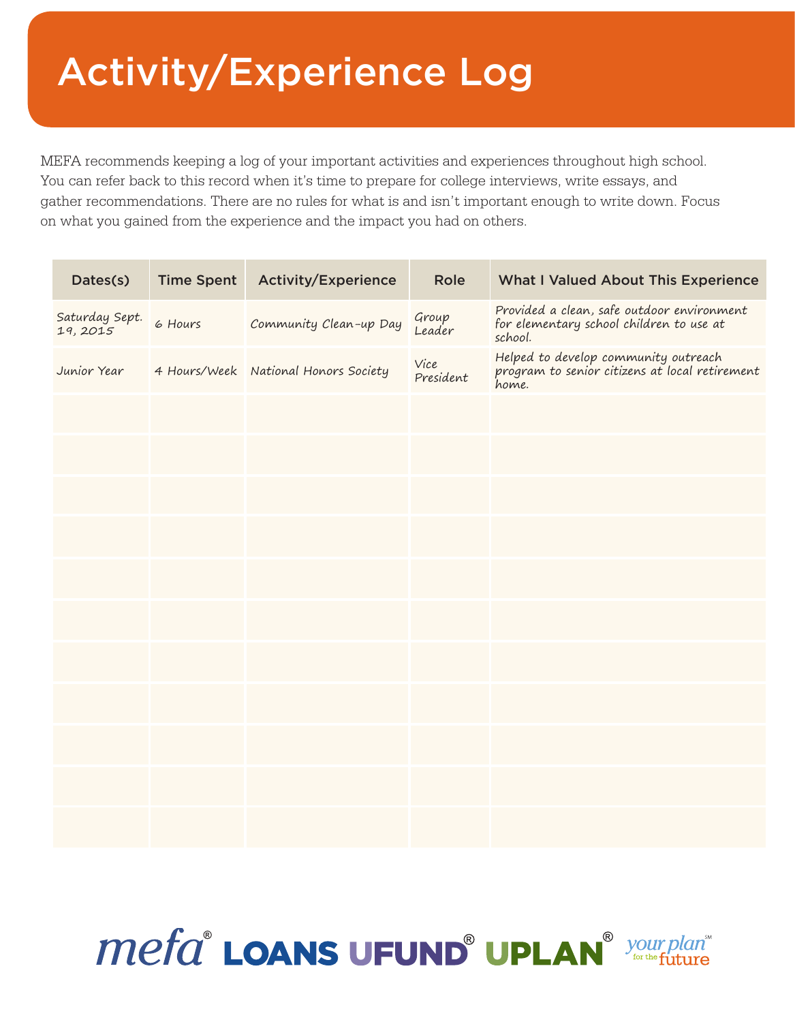#### Activity/Experience Log

MEFA recommends keeping a log of your important activities and experiences throughout high school. You can refer back to this record when it's time to prepare for college interviews, write essays, and gather recommendations. There are no rules for what is and isn't important enough to write down. Focus on what you gained from the experience and the impact you had on others.

| Dates(s)                  | <b>Time Spent</b> | <b>Activity/Experience</b>           | <b>Role</b>       | <b>What I Valued About This Experience</b>                                                        |
|---------------------------|-------------------|--------------------------------------|-------------------|---------------------------------------------------------------------------------------------------|
| Saturday Sept.<br>19,2015 | 6 Hours           | Community Clean-up Day               | Group<br>Leader   | Provided a clean, safe outdoor environment<br>for elementary school children to use at<br>school. |
| Junior Year               |                   | 4 Hours/Week National Honors Society | Vice<br>President | Helped to develop community outreach<br>program to senior citizens at local retirement<br>home.   |
|                           |                   |                                      |                   |                                                                                                   |
|                           |                   |                                      |                   |                                                                                                   |
|                           |                   |                                      |                   |                                                                                                   |
|                           |                   |                                      |                   |                                                                                                   |
|                           |                   |                                      |                   |                                                                                                   |
|                           |                   |                                      |                   |                                                                                                   |
|                           |                   |                                      |                   |                                                                                                   |
|                           |                   |                                      |                   |                                                                                                   |
|                           |                   |                                      |                   |                                                                                                   |
|                           |                   |                                      |                   |                                                                                                   |
|                           |                   |                                      |                   |                                                                                                   |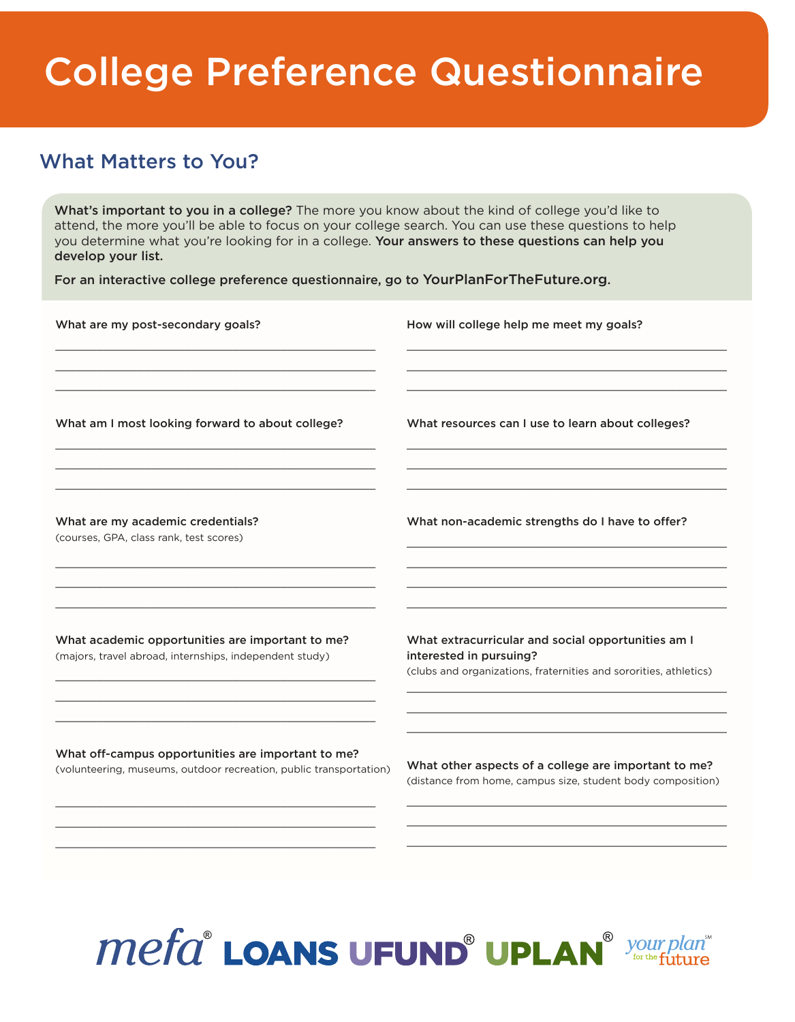#### College Preference Questionnaire

#### What Matters to You?

\_\_\_\_\_\_\_\_\_\_\_\_\_\_\_\_\_\_\_\_\_\_\_\_\_\_\_\_\_\_\_\_\_\_\_\_\_\_\_\_\_\_\_\_\_\_\_

What's important to you in a college? The more you know about the kind of college you'd like to attend, the more you'll be able to focus on your college search. You can use these questions to help you determine what you're looking for in a college. Your answers to these questions can help you develop your list.

For an interactive college preference questionnaire, go to YourPlanForTheFuture.org.

| What are my post-secondary goals?                                                                                        | How will college help me meet my goals?                                                                                                            |
|--------------------------------------------------------------------------------------------------------------------------|----------------------------------------------------------------------------------------------------------------------------------------------------|
| What am I most looking forward to about college?                                                                         | What resources can I use to learn about colleges?                                                                                                  |
| What are my academic credentials?<br>(courses, GPA, class rank, test scores)                                             | What non-academic strengths do I have to offer?                                                                                                    |
| What academic opportunities are important to me?<br>(majors, travel abroad, internships, independent study)              | What extracurricular and social opportunities am I<br>interested in pursuing?<br>(clubs and organizations, fraternities and sororities, athletics) |
| What off-campus opportunities are important to me?<br>(volunteering, museums, outdoor recreation, public transportation) | What other aspects of a college are important to me?<br>(distance from home, campus size, student body composition)                                |
|                                                                                                                          |                                                                                                                                                    |



\_\_\_\_\_\_\_\_\_\_\_\_\_\_\_\_\_\_\_\_\_\_\_\_\_\_\_\_\_\_\_\_\_\_\_\_\_\_\_\_\_\_\_\_\_\_\_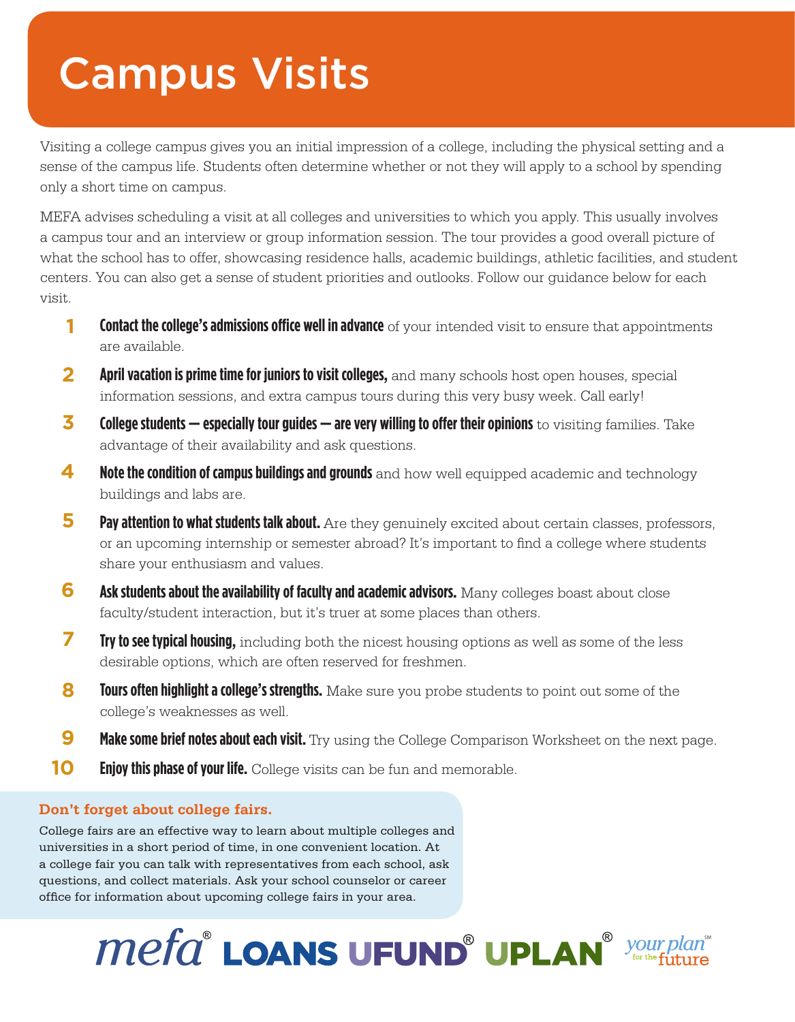#### Campus Visits

Visiting a college campus gives you an initial impression of a college, including the physical setting and a sense of the campus life. Students often determine whether or not they will apply to a school by spending only a short time on campus.

MEFA advises scheduling a visit at all colleges and universities to which you apply. This usually involves a campus tour and an interview or group information session. The tour provides a good overall picture of what the school has to offer, showcasing residence halls, academic buildings, athletic facilities, and student centers. You can also get a sense of student priorities and outlooks. Follow our guidance below for each visit.

- **Contact the college's admissions office well in advance** of your intended visit to ensure that appointments are available. **1**
- **April vacation is prime time for juniors to visit colleges,** and many schools host open houses, special information sessions, and extra campus tours during this very busy week. Call early! **2**
- **College students especially tour guides are very willing to offer their opinions** to visiting families. Take advantage of their availability and ask questions. **3**
- **Note the condition of campus buildings and grounds** and how well equipped academic and technology buildings and labs are. **4**
- **Pay attention to what students talk about.** Are they genuinely excited about certain classes, professors, or an upcoming internship or semester abroad? It's important to find a college where students share your enthusiasm and values. **5**
- **Ask students about the availability of faculty and academic advisors.** Many colleges boast about close faculty/student interaction, but it's truer at some places than others. **6**
- **Try to see typical housing,** including both the nicest housing options as well as some of the less desirable options, which are often reserved for freshmen. **7**
- **Tours often highlight a college's strengths.** Make sure you probe students to point out some of the college's weaknesses as well. **8**
- **Make some brief notes about each visit.** Try using the College Comparison Worksheet on the next page. **9**
- **Enjoy this phase of your life.** College visits can be fun and memorable. **10**

#### **Don't forget about college fairs.**

College fairs are an effective way to learn about multiple colleges and universities in a short period of time, in one convenient location. At a college fair you can talk with representatives from each school, ask questions, and collect materials. Ask your school counselor or career office for information about upcoming college fairs in your area.

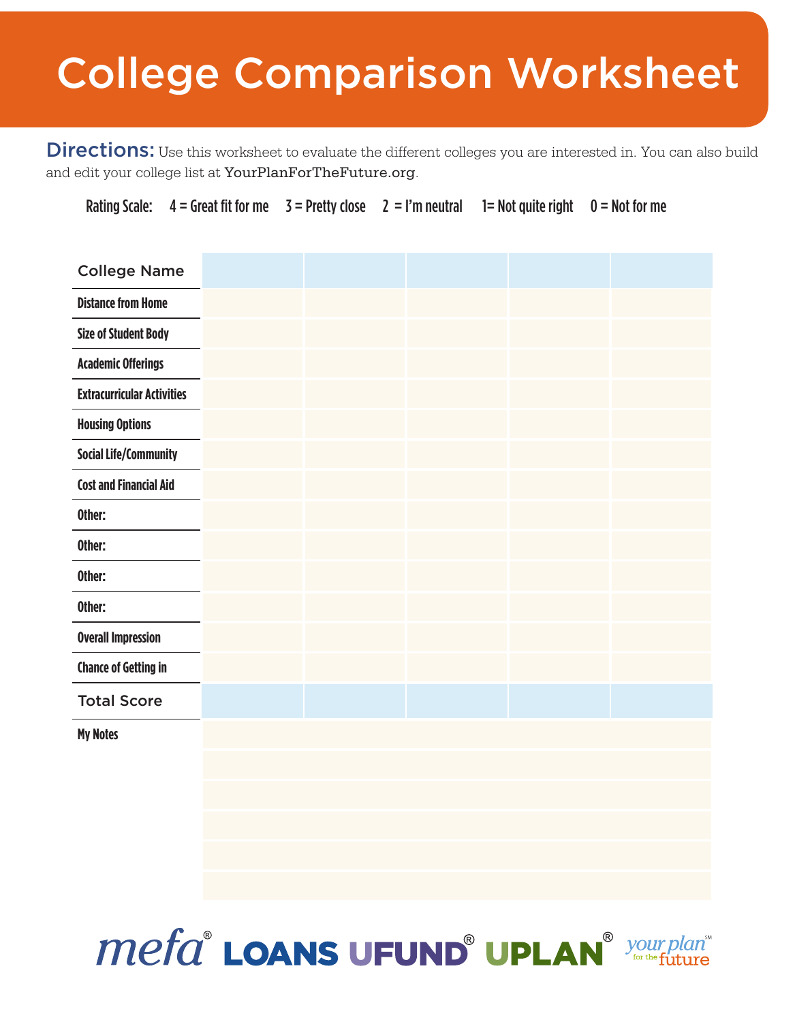### College Comparison Worksheet

Directions: Use this worksheet to evaluate the different colleges you are interested in. You can also build and edit your college list at YourPlanForTheFuture.org.

Rating Scale:  $4 =$  Great fit for me  $3 =$  Pretty close  $2 =$  I'm neutral  $1 =$  Not quite right  $0 =$  Not for me

| <b>College Name</b>               |  |  |  |
|-----------------------------------|--|--|--|
| <b>Distance from Home</b>         |  |  |  |
| <b>Size of Student Body</b>       |  |  |  |
| <b>Academic Offerings</b>         |  |  |  |
| <b>Extracurricular Activities</b> |  |  |  |
| <b>Housing Options</b>            |  |  |  |
| <b>Social Life/Community</b>      |  |  |  |
| <b>Cost and Financial Aid</b>     |  |  |  |
| Other:                            |  |  |  |
| Other:                            |  |  |  |
| Other:                            |  |  |  |
| Other:                            |  |  |  |
| <b>Overall Impression</b>         |  |  |  |
| <b>Chance of Getting in</b>       |  |  |  |
| <b>Total Score</b>                |  |  |  |
| <b>My Notes</b>                   |  |  |  |
|                                   |  |  |  |
|                                   |  |  |  |
|                                   |  |  |  |
|                                   |  |  |  |
|                                   |  |  |  |

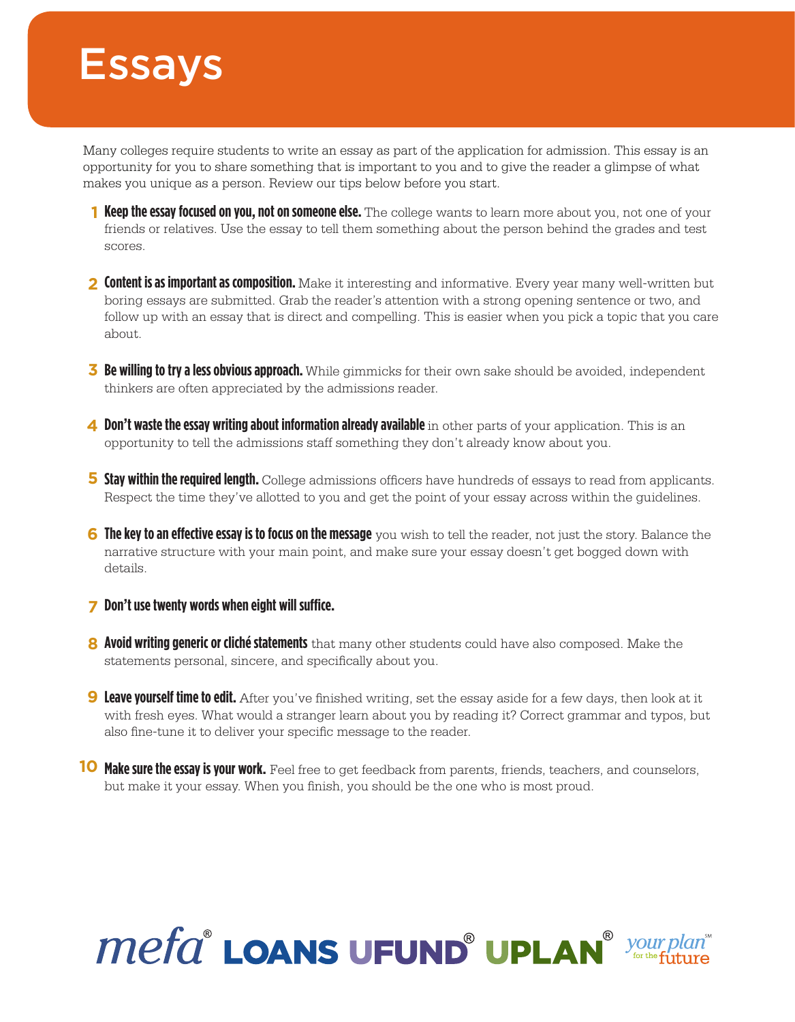#### **Essays**

Many colleges require students to write an essay as part of the application for admission. This essay is an opportunity for you to share something that is important to you and to give the reader a glimpse of what makes you unique as a person. Review our tips below before you start.

- **1 Keep the essay focused on you, not on someone else.** The college wants to learn more about you, not one of your friends or relatives. Use the essay to tell them something about the person behind the grades and test scores.
- **Content is as important as composition.** Make it interesting and informative. Every year many well-written but **2** boring essays are submitted. Grab the reader's attention with a strong opening sentence or two, and follow up with an essay that is direct and compelling. This is easier when you pick a topic that you care about.
- **Be willing to try a less obvious approach.** While gimmicks for their own sake should be avoided, independent **3** thinkers are often appreciated by the admissions reader.
- 4 Don't waste the essay writing about information already available in other parts of your application. This is an opportunity to tell the admissions staff something they don't already know about you.
- **Stay within the required length.** College admissions officers have hundreds of essays to read from applicants. **5** Respect the time they've allotted to you and get the point of your essay across within the guidelines.
- **6** The key to an effective essay is to focus on the message you wish to tell the reader, not just the story. Balance the narrative structure with your main point, and make sure your essay doesn't get bogged down with details.

#### **Don't use twenty words when eight will suffice. 7**

- **Avoid writing generic or cliché statements** that many other students could have also composed. Make the **8** statements personal, sincere, and specifically about you.
- **9 Leave yourself time to edit.** After you've finished writing, set the essay aside for a few days, then look at it with fresh eyes. What would a stranger learn about you by reading it? Correct grammar and typos, but also fine-tune it to deliver your specific message to the reader.
- **10 Make sure the essay is your work.** Feel free to get feedback from parents, friends, teachers, and counselors, but make it your essay. When you finish, you should be the one who is most proud.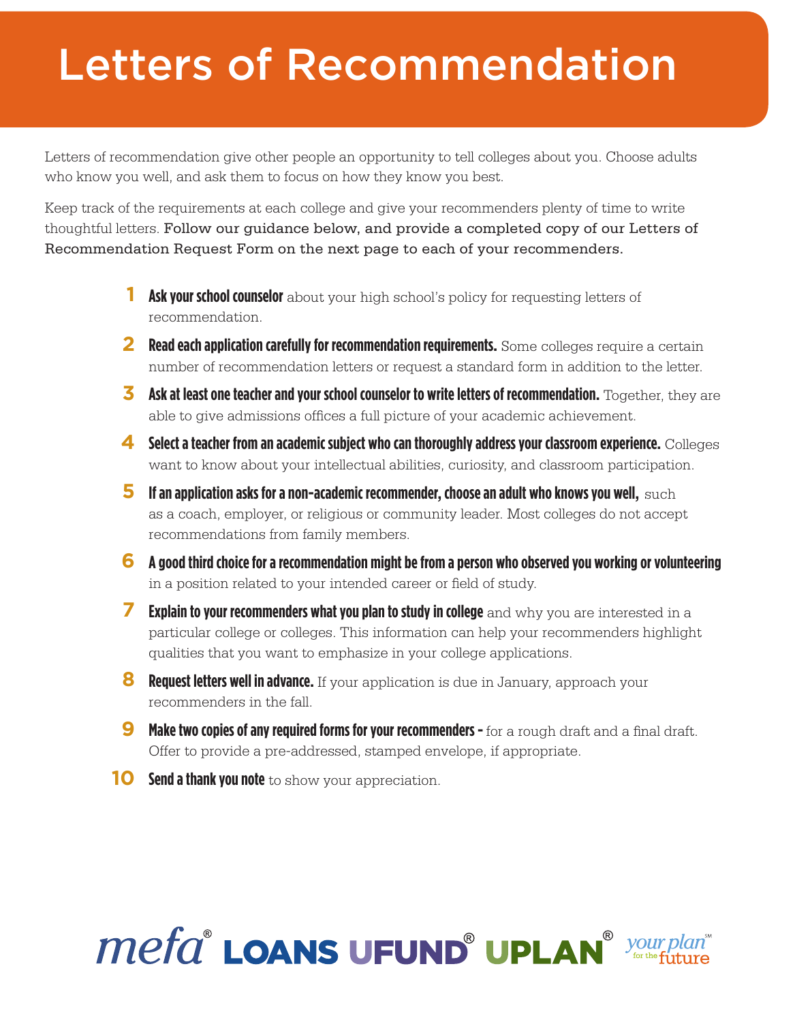### Letters of Recommendation

Letters of recommendation give other people an opportunity to tell colleges about you. Choose adults who know you well, and ask them to focus on how they know you best.

Keep track of the requirements at each college and give your recommenders plenty of time to write thoughtful letters. Follow our guidance below, and provide a completed copy of our Letters of Recommendation Request Form on the next page to each of your recommenders.

- **Ask your school counselor** about your high school's policy for requesting letters of recommendation.
- 2 Read each application carefully for recommendation requirements. Some colleges require a certain number of recommendation letters or request a standard form in addition to the letter.
- **Ask at least one teacher and your school counselor to write letters of recommendation.** Together, they are **3** able to give admissions offices a full picture of your academic achievement.
- **Select a teacher from an academic subject who can thoroughly address your classroom experience.** Colleges **4** want to know about your intellectual abilities, curiosity, and classroom participation.
- **5** If an application asks for a non-academic recommender, choose an adult who knows you well, such as a coach, employer, or religious or community leader. Most colleges do not accept recommendations from family members.
- **A good third choice for a recommendation might be from a person who observed you working or volunteering 6** in a position related to your intended career or field of study.
- **Explain to your recommenders what you plan to study in college** and why you are interested in a particular college or colleges. This information can help your recommenders highlight qualities that you want to emphasize in your college applications. **7**
- **8** Request letters well in advance. If your application is due in January, approach your recommenders in the fall.
- **Make two copies of any required forms for your recommenders -** for a rough draft and a final draft. Offer to provide a pre-addressed, stamped envelope, if appropriate. **9**
- **10** Send a thank you note to show your appreciation.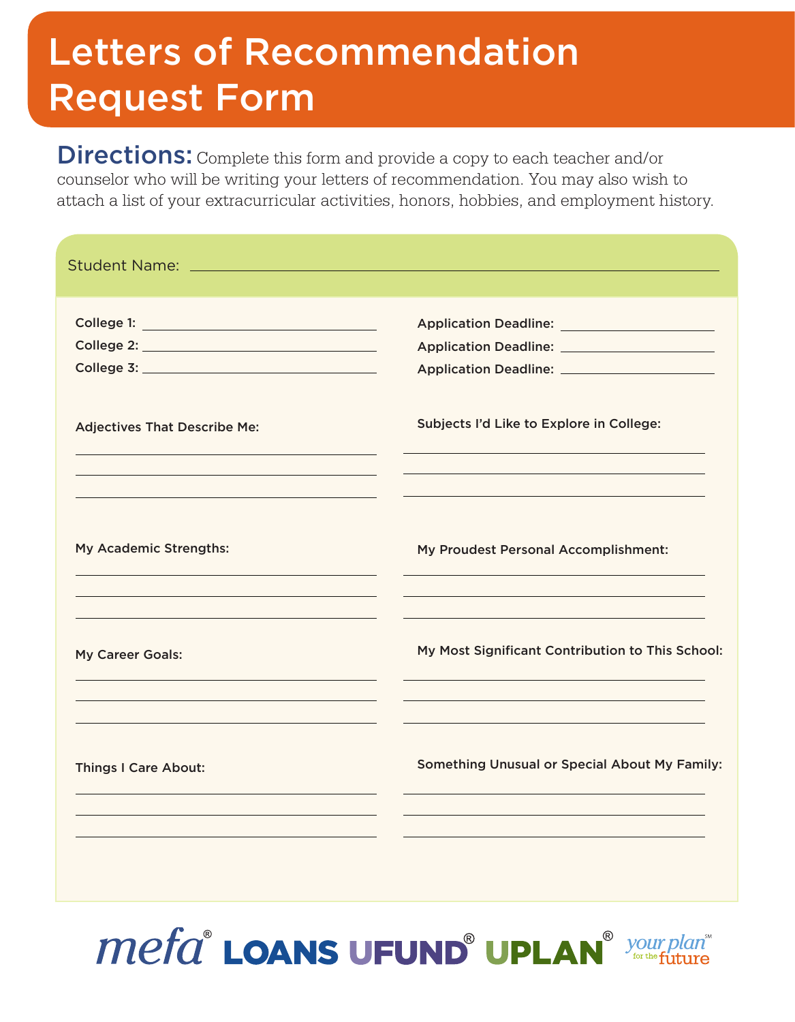#### Letters of Recommendation Request Form

Directions: Complete this form and provide a copy to each teacher and/or counselor who will be writing your letters of recommendation. You may also wish to attach a list of your extracurricular activities, honors, hobbies, and employment history.

| College 1: <u>All and the college of the colle</u> |                                                                                                                                                   |
|----------------------------------------------------|---------------------------------------------------------------------------------------------------------------------------------------------------|
|                                                    |                                                                                                                                                   |
|                                                    |                                                                                                                                                   |
| <b>Adjectives That Describe Me:</b>                | Subjects I'd Like to Explore in College:                                                                                                          |
| My Academic Strengths:                             | My Proudest Personal Accomplishment:                                                                                                              |
| My Career Goals:                                   | My Most Significant Contribution to This School:                                                                                                  |
| <b>Things I Care About:</b>                        | the control of the control of the control of the control of the control of the control of<br><b>Something Unusual or Special About My Family:</b> |
|                                                    |                                                                                                                                                   |

**Mefa<sup>®</sup> LOANS UFUND<sup>®</sup> UPLAN**<sup>® your</sup>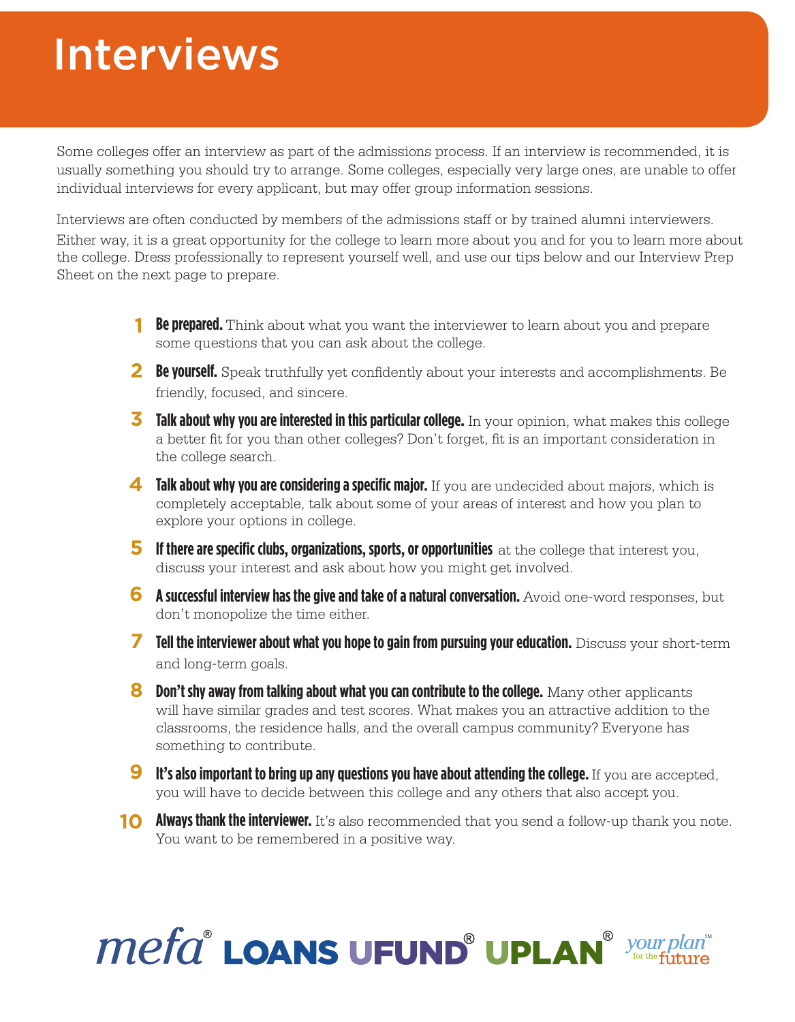#### Interviews

Some colleges offer an interview as part of the admissions process. If an interview is recommended, it is usually something you should try to arrange. Some colleges, especially very large ones, are unable to offer individual interviews for every applicant, but may offer group information sessions.

Interviews are often conducted by members of the admissions staff or by trained alumni interviewers. Either way, it is a great opportunity for the college to learn more about you and for you to learn more about the college. Dress professionally to represent yourself well, and use our tips below and our Interview Prep Sheet on the next page to prepare.

- **Be prepared.** Think about what you want the interviewer to learn about you and prepare some questions that you can ask about the college.
- **Be yourself.** Speak truthfully yet confidently about your interests and accomplishments. Be **2** friendly, focused, and sincere.
- **3** Talk about why you are interested in this particular college. In your opinion, what makes this college a better fit for you than other colleges? Don't forget, fit is an important consideration in the college search.
- **4 Talk about why you are considering a specific major.** If you are undecided about majors, which is completely acceptable, talk about some of your areas of interest and how you plan to explore your options in college.
- **5** If there are specific clubs, organizations, sports, or opportunities at the college that interest you, discuss your interest and ask about how you might get involved.
- **6** A successful interview has the give and take of a natural conversation. Avoid one-word responses, but don't monopolize the time either.
- **Tell the interviewer about what you hope to gain from pursuing your education.** Discuss your short-term **7** and long-term goals.
- **8** Don't shy away from talking about what you can contribute to the college. Many other applicants will have similar grades and test scores. What makes you an attractive addition to the classrooms, the residence halls, and the overall campus community? Everyone has something to contribute.
- **9** It's also important to bring up any questions you have about attending the college. If you are accepted, you will have to decide between this college and any others that also accept you.
- **10 Always thank the interviewer.** It's also recommended that you send a follow-up thank you note. You want to be remembered in a positive way.